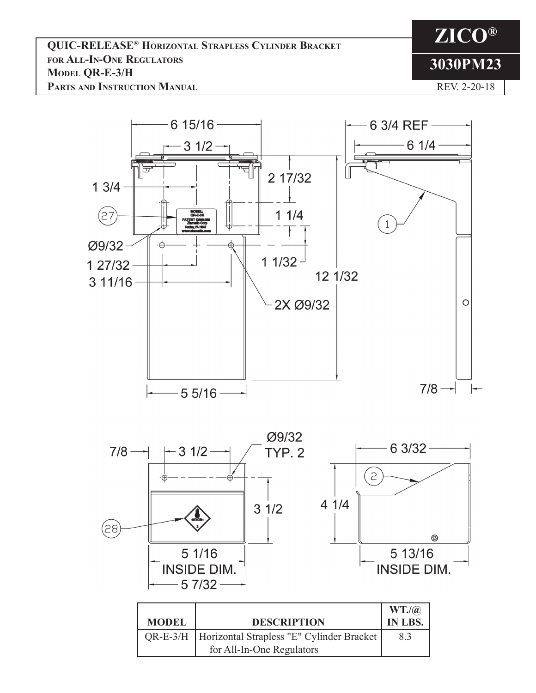**ZICO® 3030PM23** REV. 2-20-18

6 15/16 -6 3/4 REF $-61/4$  $31/2$ 2 17/32  $13/4 11/4$  $(27)$ 1 Ø9/32 ė  $11/32$ 1 27/32 12 1/32  $311/16 -$ 2X Ø9/32  $\circ$  $7/8$   $-55/16 -$ 



| <b>MODEL</b> | <b>DESCRIPTION</b>                                                                  | $WT.$ / $@$<br>IN LBS. |
|--------------|-------------------------------------------------------------------------------------|------------------------|
|              | QR-E-3/H   Horizontal Strapless "E" Cylinder Bracket  <br>for All-In-One Regulators | 8.3                    |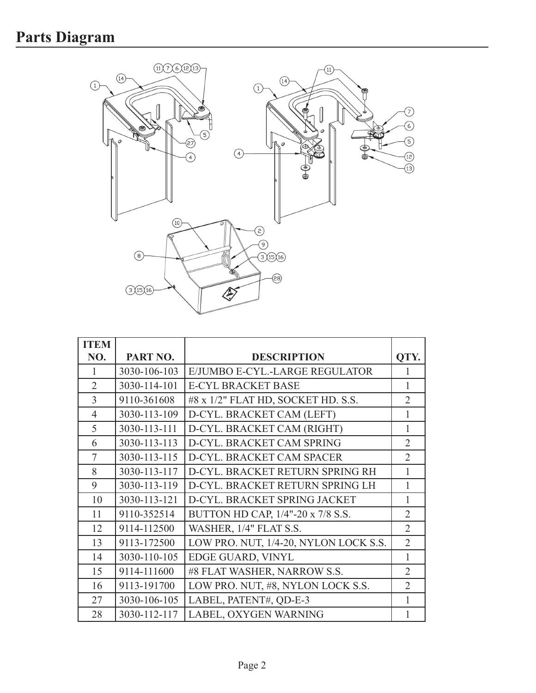

| <b>ITEM</b>    |              |                                       |                |
|----------------|--------------|---------------------------------------|----------------|
| NO.            | PART NO.     | <b>DESCRIPTION</b>                    | OTY.           |
| 1              | 3030-106-103 | E/JUMBO E-CYL.-LARGE REGULATOR        | 1              |
| $\overline{2}$ | 3030-114-101 | <b>E-CYL BRACKET BASE</b>             | 1              |
| $\overline{3}$ | 9110-361608  | #8 x 1/2" FLAT HD, SOCKET HD. S.S.    | $\overline{2}$ |
| $\overline{4}$ | 3030-113-109 | D-CYL. BRACKET CAM (LEFT)             | 1              |
| 5              | 3030-113-111 | D-CYL. BRACKET CAM (RIGHT)            | 1              |
| 6              | 3030-113-113 | D-CYL. BRACKET CAM SPRING             | $\overline{2}$ |
| 7              | 3030-113-115 | D-CYL. BRACKET CAM SPACER             | $\overline{2}$ |
| 8              | 3030-113-117 | D-CYL. BRACKET RETURN SPRING RH       |                |
| 9              | 3030-113-119 | D-CYL. BRACKET RETURN SPRING LH       | 1              |
| 10             | 3030-113-121 | D-CYL. BRACKET SPRING JACKET          | 1              |
| 11             | 9110-352514  | BUTTON HD CAP, 1/4"-20 x 7/8 S.S.     | $\overline{2}$ |
| 12             | 9114-112500  | WASHER, 1/4" FLAT S.S.                | $\overline{2}$ |
| 13             | 9113-172500  | LOW PRO. NUT, 1/4-20, NYLON LOCK S.S. | $\overline{2}$ |
| 14             | 3030-110-105 | EDGE GUARD, VINYL                     | 1              |
| 15             | 9114-111600  | #8 FLAT WASHER, NARROW S.S.           | $\overline{2}$ |
| 16             | 9113-191700  | LOW PRO. NUT, #8, NYLON LOCK S.S.     | $\overline{2}$ |
| 27             | 3030-106-105 | LABEL, PATENT#, QD-E-3                |                |
| 28             | 3030-112-117 | LABEL, OXYGEN WARNING                 |                |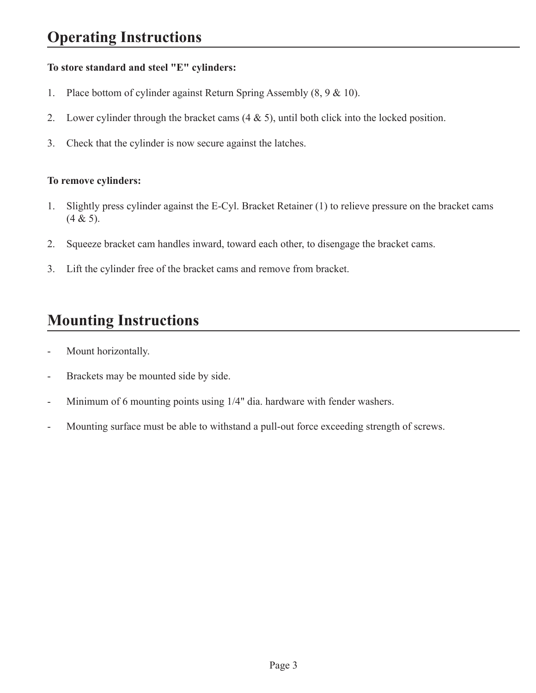## **To store standard and steel "E" cylinders:**

- 1. Place bottom of cylinder against Return Spring Assembly (8, 9 & 10).
- 2. Lower cylinder through the bracket cams (4 & 5), until both click into the locked position.
- 3. Check that the cylinder is now secure against the latches.

## **To remove cylinders:**

- 1. Slightly press cylinder against the E-Cyl. Bracket Retainer (1) to relieve pressure on the bracket cams  $(4 & 5)$ .
- 2. Squeeze bracket cam handles inward, toward each other, to disengage the bracket cams.
- 3. Lift the cylinder free of the bracket cams and remove from bracket.

## **Mounting Instructions**

- Mount horizontally.
- Brackets may be mounted side by side.
- Minimum of 6 mounting points using 1/4" dia. hardware with fender washers.
- Mounting surface must be able to withstand a pull-out force exceeding strength of screws.